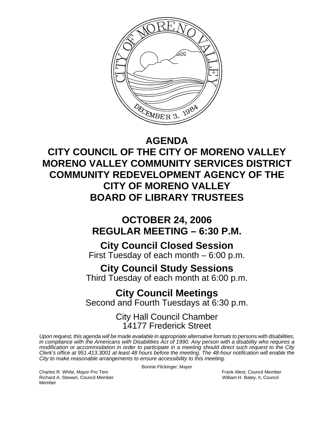

## **AGENDA**

**CITY COUNCIL OF THE CITY OF MORENO VALLEY MORENO VALLEY COMMUNITY SERVICES DISTRICT COMMUNITY REDEVELOPMENT AGENCY OF THE CITY OF MORENO VALLEY BOARD OF LIBRARY TRUSTEES** 

# **OCTOBER 24, 2006 REGULAR MEETING – 6:30 P.M.**

# **City Council Closed Session**

First Tuesday of each month – 6:00 p.m.

# **City Council Study Sessions**

Third Tuesday of each month at 6:00 p.m.

## **City Council Meetings**  Second and Fourth Tuesdays at 6:30 p.m.

## City Hall Council Chamber 14177 Frederick Street

*Upon request, this agenda will be made available in appropriate alternative formats to persons with disabilities, in compliance with the Americans with Disabilities Act of 1990. Any person with a disability who requires a modification or accommodation in order to participate in a meeting should direct such request to the City Clerk's office at 951.413.3001 at least 48 hours before the meeting. The 48-hour notification will enable the City to make reasonable arrangements to ensure accessibility to this meeting.* 

Bonnie Flickinger, Mayor

Charles R. White, Mayor Pro Tem Frank West, Council Member Richard A. Stewart, Council Member William H. Batey, II, Council Member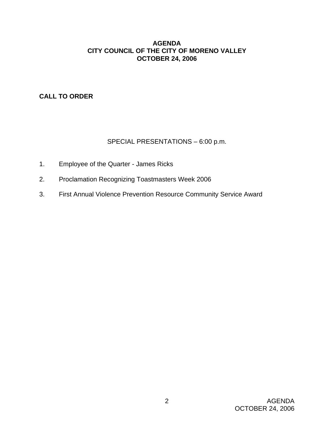## **AGENDA CITY COUNCIL OF THE CITY OF MORENO VALLEY OCTOBER 24, 2006**

**CALL TO ORDER**

## SPECIAL PRESENTATIONS – 6:00 p.m.

- 1. Employee of the Quarter James Ricks
- 2. Proclamation Recognizing Toastmasters Week 2006
- 3. First Annual Violence Prevention Resource Community Service Award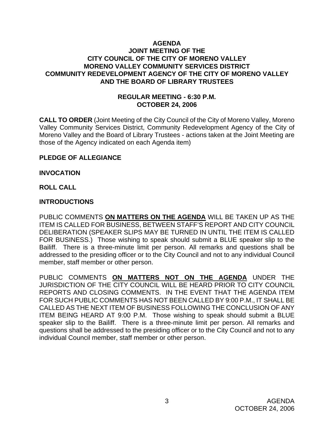## **AGENDA JOINT MEETING OF THE CITY COUNCIL OF THE CITY OF MORENO VALLEY MORENO VALLEY COMMUNITY SERVICES DISTRICT COMMUNITY REDEVELOPMENT AGENCY OF THE CITY OF MORENO VALLEY AND THE BOARD OF LIBRARY TRUSTEES**

## **REGULAR MEETING - 6:30 P.M. OCTOBER 24, 2006**

**CALL TO ORDER** (Joint Meeting of the City Council of the City of Moreno Valley, Moreno Valley Community Services District, Community Redevelopment Agency of the City of Moreno Valley and the Board of Library Trustees - actions taken at the Joint Meeting are those of the Agency indicated on each Agenda item)

### **PLEDGE OF ALLEGIANCE**

#### **INVOCATION**

#### **ROLL CALL**

#### **INTRODUCTIONS**

PUBLIC COMMENTS **ON MATTERS ON THE AGENDA** WILL BE TAKEN UP AS THE ITEM IS CALLED FOR BUSINESS, BETWEEN STAFF'S REPORT AND CITY COUNCIL DELIBERATION (SPEAKER SLIPS MAY BE TURNED IN UNTIL THE ITEM IS CALLED FOR BUSINESS.) Those wishing to speak should submit a BLUE speaker slip to the Bailiff. There is a three-minute limit per person. All remarks and questions shall be addressed to the presiding officer or to the City Council and not to any individual Council member, staff member or other person.

PUBLIC COMMENTS **ON MATTERS NOT ON THE AGENDA** UNDER THE JURISDICTION OF THE CITY COUNCIL WILL BE HEARD PRIOR TO CITY COUNCIL REPORTS AND CLOSING COMMENTS. IN THE EVENT THAT THE AGENDA ITEM FOR SUCH PUBLIC COMMENTS HAS NOT BEEN CALLED BY 9:00 P.M., IT SHALL BE CALLED AS THE NEXT ITEM OF BUSINESS FOLLOWING THE CONCLUSION OF ANY ITEM BEING HEARD AT 9:00 P.M. Those wishing to speak should submit a BLUE speaker slip to the Bailiff. There is a three-minute limit per person. All remarks and questions shall be addressed to the presiding officer or to the City Council and not to any individual Council member, staff member or other person.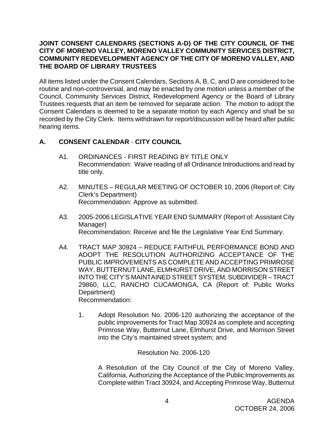## **JOINT CONSENT CALENDARS (SECTIONS A-D) OF THE CITY COUNCIL OF THE CITY OF MORENO VALLEY, MORENO VALLEY COMMUNITY SERVICES DISTRICT, COMMUNITY REDEVELOPMENT AGENCY OF THE CITY OF MORENO VALLEY, AND THE BOARD OF LIBRARY TRUSTEES**

All items listed under the Consent Calendars, Sections A, B, C, and D are considered to be routine and non-controversial, and may be enacted by one motion unless a member of the Council, Community Services District, Redevelopment Agency or the Board of Library Trustees requests that an item be removed for separate action. The motion to adopt the Consent Calendars is deemed to be a separate motion by each Agency and shall be so recorded by the City Clerk. Items withdrawn for report/discussion will be heard after public hearing items.

## **A. CONSENT CALENDAR** - **CITY COUNCIL**

- A1. ORDINANCES FIRST READING BY TITLE ONLY Recommendation: Waive reading of all Ordinance Introductions and read by title only.
- A2. MINUTES REGULAR MEETING OF OCTOBER 10, 2006 (Report of: City Clerk's Department) Recommendation: Approve as submitted.
- A3. 2005-2006 LEGISLATIVE YEAR END SUMMARY (Report of: Assistant City Manager) Recommendation: Receive and file the Legislative Year End Summary.
- A4. TRACT MAP 30924 REDUCE FAITHFUL PERFORMANCE BOND AND ADOPT THE RESOLUTION AUTHORIZING ACCEPTANCE OF THE PUBLIC IMPROVEMENTS AS COMPLETE AND ACCEPTING PRIMROSE WAY, BUTTERNUT LANE, ELMHURST DRIVE, AND MORRISON STREET INTO THE CITY'S MAINTAINED STREET SYSTEM, SUBDIVIDER – TRACT 29860, LLC, RANCHO CUCAMONGA, CA (Report of: Public Works Department) Recommendation:

 1. Adopt Resolution No. 2006-120 authorizing the acceptance of the public improvements for Tract Map 30924 as complete and accepting Primrose Way, Butternut Lane, Elmhurst Drive, and Morrison Street into the City's maintained street system; and

Resolution No. 2006-120

 A Resolution of the City Council of the City of Moreno Valley, California, Authorizing the Acceptance of the Public Improvements as Complete within Tract 30924, and Accepting Primrose Way, Butternut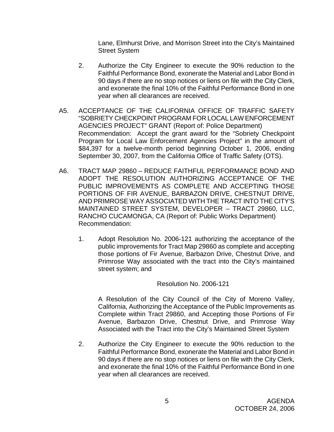Lane, Elmhurst Drive, and Morrison Street into the City's Maintained Street System

- 2. Authorize the City Engineer to execute the 90% reduction to the Faithful Performance Bond, exonerate the Material and Labor Bond in 90 days if there are no stop notices or liens on file with the City Clerk, and exonerate the final 10% of the Faithful Performance Bond in one year when all clearances are received.
- A5. ACCEPTANCE OF THE CALIFORNIA OFFICE OF TRAFFIC SAFETY "SOBRIETY CHECKPOINT PROGRAM FOR LOCAL LAW ENFORCEMENT AGENCIES PROJECT" GRANT (Report of: Police Department) Recommendation: Accept the grant award for the "Sobriety Checkpoint Program for Local Law Enforcement Agencies Project" in the amount of \$84,397 for a twelve-month period beginning October 1, 2006, ending September 30, 2007, from the California Office of Traffic Safety (OTS).
- A6. TRACT MAP 29860 REDUCE FAITHFUL PERFORMANCE BOND AND ADOPT THE RESOLUTION AUTHORIZING ACCEPTANCE OF THE PUBLIC IMPROVEMENTS AS COMPLETE AND ACCEPTING THOSE PORTIONS OF FIR AVENUE, BARBAZON DRIVE, CHESTNUT DRIVE, AND PRIMROSE WAY ASSOCIATED WITH THE TRACT INTO THE CITY'S MAINTAINED STREET SYSTEM, DEVELOPER – TRACT 29860, LLC, RANCHO CUCAMONGA, CA (Report of: Public Works Department) Recommendation:
	- 1. Adopt Resolution No. 2006-121 authorizing the acceptance of the public improvements for Tract Map 29860 as complete and accepting those portions of Fir Avenue, Barbazon Drive, Chestnut Drive, and Primrose Way associated with the tract into the City's maintained street system; and

### Resolution No. 2006-121

 A Resolution of the City Council of the City of Moreno Valley, California, Authorizing the Acceptance of the Public Improvements as Complete within Tract 29860, and Accepting those Portions of Fir Avenue, Barbazon Drive, Chestnut Drive, and Primrose Way Associated with the Tract into the City's Maintained Street System

 2. Authorize the City Engineer to execute the 90% reduction to the Faithful Performance Bond, exonerate the Material and Labor Bond in 90 days if there are no stop notices or liens on file with the City Clerk, and exonerate the final 10% of the Faithful Performance Bond in one year when all clearances are received.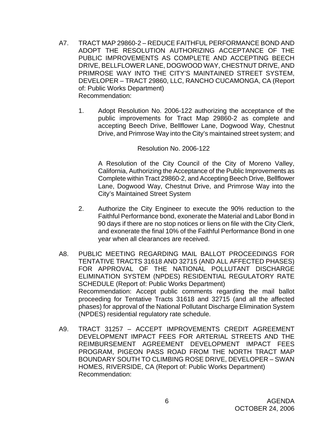- A7. TRACT MAP 29860-2 REDUCE FAITHFUL PERFORMANCE BOND AND ADOPT THE RESOLUTION AUTHORIZING ACCEPTANCE OF THE PUBLIC IMPROVEMENTS AS COMPLETE AND ACCEPTING BEECH DRIVE, BELLFLOWER LANE, DOGWOOD WAY, CHESTNUT DRIVE, AND PRIMROSE WAY INTO THE CITY'S MAINTAINED STREET SYSTEM, DEVELOPER – TRACT 29860, LLC, RANCHO CUCAMONGA, CA (Report of: Public Works Department) Recommendation:
	- 1. Adopt Resolution No. 2006-122 authorizing the acceptance of the public improvements for Tract Map 29860-2 as complete and accepting Beech Drive, Bellflower Lane, Dogwood Way, Chestnut Drive, and Primrose Way into the City's maintained street system; and

#### Resolution No. 2006-122

 A Resolution of the City Council of the City of Moreno Valley, California, Authorizing the Acceptance of the Public Improvements as Complete within Tract 29860-2, and Accepting Beech Drive, Bellflower Lane, Dogwood Way, Chestnut Drive, and Primrose Way into the City's Maintained Street System

- 2. Authorize the City Engineer to execute the 90% reduction to the Faithful Performance bond, exonerate the Material and Labor Bond in 90 days if there are no stop notices or liens on file with the City Clerk, and exonerate the final 10% of the Faithful Performance Bond in one year when all clearances are received.
- A8. PUBLIC MEETING REGARDING MAIL BALLOT PROCEEDINGS FOR TENTATIVE TRACTS 31618 AND 32715 (AND ALL AFFECTED PHASES) FOR APPROVAL OF THE NATIONAL POLLUTANT DISCHARGE ELIMINATION SYSTEM (NPDES) RESIDENTIAL REGULATORY RATE SCHEDULE (Report of: Public Works Department) Recommendation: Accept public comments regarding the mail ballot proceeding for Tentative Tracts 31618 and 32715 (and all the affected phases) for approval of the National Pollutant Discharge Elimination System (NPDES) residential regulatory rate schedule.
- A9. TRACT 31257 ACCEPT IMPROVEMENTS CREDIT AGREEMENT DEVELOPMENT IMPACT FEES FOR ARTERIAL STREETS AND THE REIMBURSEMENT AGREEMENT DEVELOPMENT IMPACT FEES PROGRAM, PIGEON PASS ROAD FROM THE NORTH TRACT MAP BOUNDARY SOUTH TO CLIMBING ROSE DRIVE, DEVELOPER – SWAN HOMES, RIVERSIDE, CA (Report of: Public Works Department) Recommendation: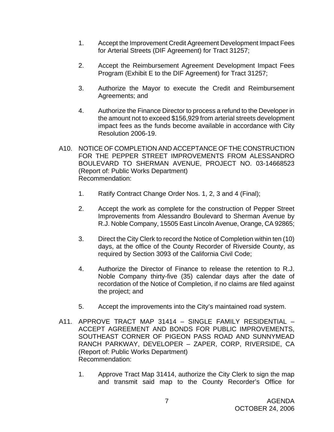- 1. Accept the Improvement Credit Agreement Development Impact Fees for Arterial Streets (DIF Agreement) for Tract 31257;
- 2. Accept the Reimbursement Agreement Development Impact Fees Program (Exhibit E to the DIF Agreement) for Tract 31257;
- 3. Authorize the Mayor to execute the Credit and Reimbursement Agreements; and
- 4. Authorize the Finance Director to process a refund to the Developer in the amount not to exceed \$156,929 from arterial streets development impact fees as the funds become available in accordance with City Resolution 2006-19.
- A10. NOTICE OF COMPLETION AND ACCEPTANCE OF THE CONSTRUCTION FOR THE PEPPER STREET IMPROVEMENTS FROM ALESSANDRO BOULEVARD TO SHERMAN AVENUE, PROJECT NO. 03-14668523 (Report of: Public Works Department) Recommendation:
	- 1. Ratify Contract Change Order Nos. 1, 2, 3 and 4 (Final);
	- 2. Accept the work as complete for the construction of Pepper Street Improvements from Alessandro Boulevard to Sherman Avenue by R.J. Noble Company, 15505 East Lincoln Avenue, Orange, CA 92865;
	- 3. Direct the City Clerk to record the Notice of Completion within ten (10) days, at the office of the County Recorder of Riverside County, as required by Section 3093 of the California Civil Code;
	- 4. Authorize the Director of Finance to release the retention to R.J. Noble Company thirty-five (35) calendar days after the date of recordation of the Notice of Completion, if no claims are filed against the project; and
	- 5. Accept the improvements into the City's maintained road system.
- A11. APPROVE TRACT MAP 31414 SINGLE FAMILY RESIDENTIAL ACCEPT AGREEMENT AND BONDS FOR PUBLIC IMPROVEMENTS, SOUTHEAST CORNER OF PIGEON PASS ROAD AND SUNNYMEAD RANCH PARKWAY, DEVELOPER – ZAPER, CORP, RIVERSIDE, CA (Report of: Public Works Department) Recommendation:
	- 1. Approve Tract Map 31414, authorize the City Clerk to sign the map and transmit said map to the County Recorder's Office for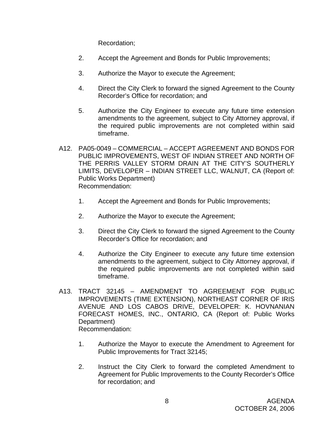Recordation;

- 2. Accept the Agreement and Bonds for Public Improvements;
- 3. Authorize the Mayor to execute the Agreement;
- 4. Direct the City Clerk to forward the signed Agreement to the County Recorder's Office for recordation; and
- 5. Authorize the City Engineer to execute any future time extension amendments to the agreement, subject to City Attorney approval, if the required public improvements are not completed within said timeframe.
- A12. PA05-0049 COMMERCIAL ACCEPT AGREEMENT AND BONDS FOR PUBLIC IMPROVEMENTS, WEST OF INDIAN STREET AND NORTH OF THE PERRIS VALLEY STORM DRAIN AT THE CITY'S SOUTHERLY LIMITS, DEVELOPER – INDIAN STREET LLC, WALNUT, CA (Report of: Public Works Department) Recommendation:
	- 1. Accept the Agreement and Bonds for Public Improvements;
	- 2. Authorize the Mayor to execute the Agreement;
	- 3. Direct the City Clerk to forward the signed Agreement to the County Recorder's Office for recordation; and
	- 4. Authorize the City Engineer to execute any future time extension amendments to the agreement, subject to City Attorney approval, if the required public improvements are not completed within said timeframe.
- A13. TRACT 32145 AMENDMENT TO AGREEMENT FOR PUBLIC IMPROVEMENTS (TIME EXTENSION), NORTHEAST CORNER OF IRIS AVENUE AND LOS CABOS DRIVE, DEVELOPER: K. HOVNANIAN FORECAST HOMES, INC., ONTARIO, CA (Report of: Public Works Department) Recommendation:
	- 1. Authorize the Mayor to execute the Amendment to Agreement for Public Improvements for Tract 32145;
	- 2. Instruct the City Clerk to forward the completed Amendment to Agreement for Public Improvements to the County Recorder's Office for recordation; and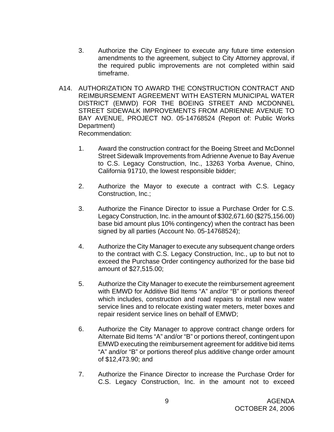- 3. Authorize the City Engineer to execute any future time extension amendments to the agreement, subject to City Attorney approval, if the required public improvements are not completed within said timeframe.
- A14. AUTHORIZATION TO AWARD THE CONSTRUCTION CONTRACT AND REIMBURSEMENT AGREEMENT WITH EASTERN MUNICIPAL WATER DISTRICT (EMWD) FOR THE BOEING STREET AND MCDONNEL STREET SIDEWALK IMPROVEMENTS FROM ADRIENNE AVENUE TO BAY AVENUE, PROJECT NO. 05-14768524 (Report of: Public Works Department) Recommendation:
	- 1. Award the construction contract for the Boeing Street and McDonnel Street Sidewalk Improvements from Adrienne Avenue to Bay Avenue to C.S. Legacy Construction, Inc., 13263 Yorba Avenue, Chino, California 91710, the lowest responsible bidder;
	- 2. Authorize the Mayor to execute a contract with C.S. Legacy Construction, Inc.;
	- 3. Authorize the Finance Director to issue a Purchase Order for C.S. Legacy Construction, Inc. in the amount of \$302,671.60 (\$275,156.00) base bid amount plus 10% contingency) when the contract has been signed by all parties (Account No. 05-14768524);
	- 4. Authorize the City Manager to execute any subsequent change orders to the contract with C.S. Legacy Construction, Inc., up to but not to exceed the Purchase Order contingency authorized for the base bid amount of \$27,515.00;
	- 5. Authorize the City Manager to execute the reimbursement agreement with EMWD for Additive Bid Items "A" and/or "B" or portions thereof which includes, construction and road repairs to install new water service lines and to relocate existing water meters, meter boxes and repair resident service lines on behalf of EMWD;
	- 6. Authorize the City Manager to approve contract change orders for Alternate Bid Items "A" and/or "B" or portions thereof, contingent upon EMWD executing the reimbursement agreement for additive bid items "A" and/or "B" or portions thereof plus additive change order amount of \$12,473.90; and
	- 7. Authorize the Finance Director to increase the Purchase Order for C.S. Legacy Construction, Inc. in the amount not to exceed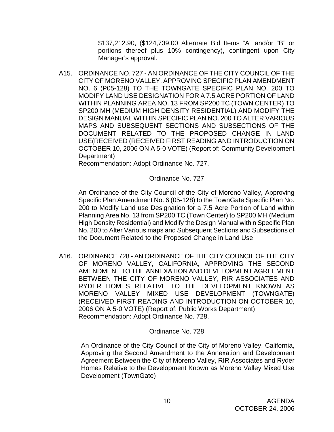\$137,212.90, (\$124,739.00 Alternate Bid Items "A" and/or "B" or portions thereof plus 10% contingency), contingent upon City Manager's approval.

A15. ORDINANCE NO. 727 - AN ORDINANCE OF THE CITY COUNCIL OF THE CITY OF MORENO VALLEY, APPROVING SPECIFIC PLAN AMENDMENT NO. 6 (P05-128) TO THE TOWNGATE SPECIFIC PLAN NO. 200 TO MODIFY LAND USE DESIGNATION FOR A 7.5 ACRE PORTION OF LAND WITHIN PLANNING AREA NO. 13 FROM SP200 TC (TOWN CENTER) TO SP200 MH (MEDIUM HIGH DENSITY RESIDENTIAL) AND MODIFY THE DESIGN MANUAL WITHIN SPECIFIC PLAN NO. 200 TO ALTER VARIOUS MAPS AND SUBSEQUENT SECTIONS AND SUBSECTIONS OF THE DOCUMENT RELATED TO THE PROPOSED CHANGE IN LAND USE(RECEIVED (RECEIVED FIRST READING AND INTRODUCTION ON OCTOBER 10, 2006 ON A 5-0 VOTE) (Report of: Community Development Department)

Recommendation: Adopt Ordinance No. 727.

Ordinance No. 727

An Ordinance of the City Council of the City of Moreno Valley, Approving Specific Plan Amendment No. 6 (05-128) to the TownGate Specific Plan No. 200 to Modify Land use Designation for a 7.5 Acre Portion of Land within Planning Area No. 13 from SP200 TC (Town Center) to SP200 MH (Medium High Density Residential) and Modify the Design Manual within Specific Plan No. 200 to Alter Various maps and Subsequent Sections and Subsections of the Document Related to the Proposed Change in Land Use

A16. ORDINANCE 728 - AN ORDINANCE OF THE CITY COUNCIL OF THE CITY OF MORENO VALLEY, CALIFORNIA, APPROVING THE SECOND AMENDMENT TO THE ANNEXATION AND DEVELOPMENT AGREEMENT BETWEEN THE CITY OF MORENO VALLEY, RIR ASSOCIATES AND RYDER HOMES RELATIVE TO THE DEVELOPMENT KNOWN AS MORENO VALLEY MIXED USE DEVELOPMENT (TOWNGATE) (RECEIVED FIRST READING AND INTRODUCTION ON OCTOBER 10, 2006 ON A 5-0 VOTE) (Report of: Public Works Department) Recommendation: Adopt Ordinance No. 728.

### Ordinance No. 728

An Ordinance of the City Council of the City of Moreno Valley, California, Approving the Second Amendment to the Annexation and Development Agreement Between the City of Moreno Valley, RIR Associates and Ryder Homes Relative to the Development Known as Moreno Valley Mixed Use Development (TownGate)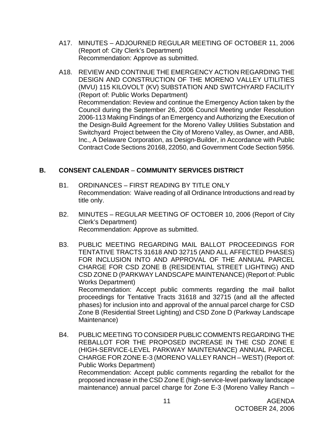- A17. MINUTES ADJOURNED REGULAR MEETING OF OCTOBER 11, 2006 (Report of: City Clerk's Department) Recommendation: Approve as submitted.
- A18. REVIEW AND CONTINUE THE EMERGENCY ACTION REGARDING THE DESIGN AND CONSTRUCTION OF THE MORENO VALLEY UTILITIES (MVU) 115 KILOVOLT (KV) SUBSTATION AND SWITCHYARD FACILITY (Report of: Public Works Department) Recommendation: Review and continue the Emergency Action taken by the Council during the September 26, 2006 Council Meeting under Resolution 2006-113 Making Findings of an Emergency and Authorizing the Execution of the Design-Build Agreement for the Moreno Valley Utilities Substation and Switchyard Project between the City of Moreno Valley, as Owner, and ABB, Inc., A Delaware Corporation, as Design-Builder, in Accordance with Public Contract Code Sections 20168, 22050, and Government Code Section 5956.

## **B. CONSENT CALENDAR** – **COMMUNITY SERVICES DISTRICT**

- B1. ORDINANCES FIRST READING BY TITLE ONLY Recommendation: Waive reading of all Ordinance Introductions and read by title only.
- B2. MINUTES REGULAR MEETING OF OCTOBER 10, 2006 (Report of City Clerk's Department) Recommendation: Approve as submitted.
- B3. PUBLIC MEETING REGARDING MAIL BALLOT PROCEEDINGS FOR TENTATIVE TRACTS 31618 AND 32715 (AND ALL AFFECTED PHASES) FOR INCLUSION INTO AND APPROVAL OF THE ANNUAL PARCEL CHARGE FOR CSD ZONE B (RESIDENTIAL STREET LIGHTING) AND CSD ZONE D (PARKWAY LANDSCAPE MAINTENANCE) (Report of: Public Works Department)

 Recommendation: Accept public comments regarding the mail ballot proceedings for Tentative Tracts 31618 and 32715 (and all the affected phases) for inclusion into and approval of the annual parcel charge for CSD Zone B (Residential Street Lighting) and CSD Zone D (Parkway Landscape Maintenance)

B4. PUBLIC MEETING TO CONSIDER PUBLIC COMMENTS REGARDING THE REBALLOT FOR THE PROPOSED INCREASE IN THE CSD ZONE E (HIGH-SERVICE-LEVEL PARKWAY MAINTENANCE) ANNUAL PARCEL CHARGE FOR ZONE E-3 (MORENO VALLEY RANCH – WEST) (Report of: Public Works Department) Recommendation: Accept public comments regarding the reballot for the proposed increase in the CSD Zone E (high-service-level parkway landscape maintenance) annual parcel charge for Zone E-3 (Moreno Valley Ranch –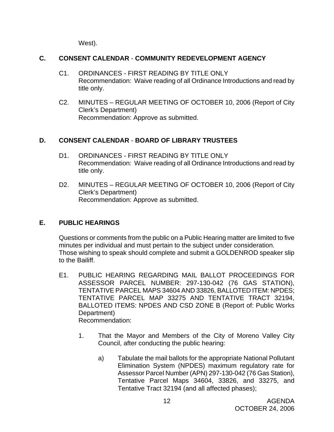West).

## **C. CONSENT CALENDAR** - **COMMUNITY REDEVELOPMENT AGENCY**

- C1. ORDINANCES FIRST READING BY TITLE ONLY Recommendation: Waive reading of all Ordinance Introductions and read by title only.
- C2. MINUTES REGULAR MEETING OF OCTOBER 10, 2006 (Report of City Clerk's Department) Recommendation: Approve as submitted.

## **D. CONSENT CALENDAR** - **BOARD OF LIBRARY TRUSTEES**

- D1. ORDINANCES FIRST READING BY TITLE ONLY Recommendation: Waive reading of all Ordinance Introductions and read by title only.
- D2. MINUTES REGULAR MEETING OF OCTOBER 10, 2006 (Report of City Clerk's Department) Recommendation: Approve as submitted.

## **E. PUBLIC HEARINGS**

Questions or comments from the public on a Public Hearing matter are limited to five minutes per individual and must pertain to the subject under consideration. Those wishing to speak should complete and submit a GOLDENROD speaker slip to the Bailiff.

- E1. PUBLIC HEARING REGARDING MAIL BALLOT PROCEEDINGS FOR ASSESSOR PARCEL NUMBER: 297-130-042 (76 GAS STATION), TENTATIVE PARCEL MAPS 34604 AND 33826, BALLOTED ITEM: NPDES; TENTATIVE PARCEL MAP 33275 AND TENTATIVE TRACT 32194, BALLOTED ITEMS: NPDES AND CSD ZONE B (Report of: Public Works Department) Recommendation:
	- 1. That the Mayor and Members of the City of Moreno Valley City Council, after conducting the public hearing:
		- a) Tabulate the mail ballots for the appropriate National Pollutant Elimination System (NPDES) maximum regulatory rate for Assessor Parcel Number (APN) 297-130-042 (76 Gas Station), Tentative Parcel Maps 34604, 33826, and 33275, and Tentative Tract 32194 (and all affected phases);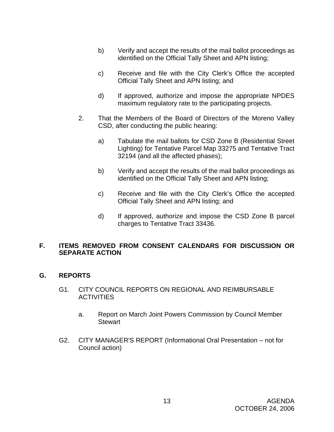- b) Verify and accept the results of the mail ballot proceedings as identified on the Official Tally Sheet and APN listing;
- c) Receive and file with the City Clerk's Office the accepted Official Tally Sheet and APN listing; and
- d) If approved, authorize and impose the appropriate NPDES maximum regulatory rate to the participating projects.
- 2. That the Members of the Board of Directors of the Moreno Valley CSD, after conducting the public hearing:
	- a) Tabulate the mail ballots for CSD Zone B (Residential Street Lighting) for Tentative Parcel Map 33275 and Tentative Tract 32194 (and all the affected phases);
	- b) Verify and accept the results of the mail ballot proceedings as identified on the Official Tally Sheet and APN listing;
	- c) Receive and file with the City Clerk's Office the accepted Official Tally Sheet and APN listing; and
	- d) If approved, authorize and impose the CSD Zone B parcel charges to Tentative Tract 33436.

## **F. ITEMS REMOVED FROM CONSENT CALENDARS FOR DISCUSSION OR SEPARATE ACTION**

## **G. REPORTS**

- G1. CITY COUNCIL REPORTS ON REGIONAL AND REIMBURSABLE **ACTIVITIES** 
	- a. Report on March Joint Powers Commission by Council Member **Stewart**
- G2. CITY MANAGER'S REPORT (Informational Oral Presentation not for Council action)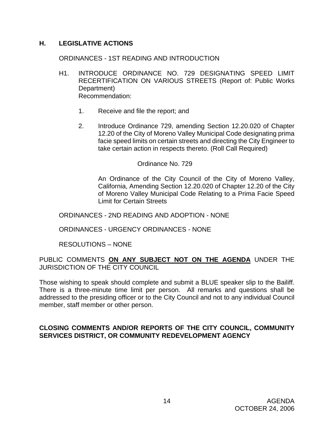## **H. LEGISLATIVE ACTIONS**

#### ORDINANCES - 1ST READING AND INTRODUCTION

- H1. INTRODUCE ORDINANCE NO. 729 DESIGNATING SPEED LIMIT RECERTIFICATION ON VARIOUS STREETS (Report of: Public Works Department) Recommendation:
	- 1. Receive and file the report; and
	- 2. Introduce Ordinance 729, amending Section 12.20.020 of Chapter 12.20 of the City of Moreno Valley Municipal Code designating prima facie speed limits on certain streets and directing the City Engineer to take certain action in respects thereto. (Roll Call Required)

#### Ordinance No. 729

 An Ordinance of the City Council of the City of Moreno Valley, California, Amending Section 12.20.020 of Chapter 12.20 of the City of Moreno Valley Municipal Code Relating to a Prima Facie Speed Limit for Certain Streets

ORDINANCES - 2ND READING AND ADOPTION - NONE

#### ORDINANCES - URGENCY ORDINANCES - NONE

### RESOLUTIONS – NONE

PUBLIC COMMENTS **ON ANY SUBJECT NOT ON THE AGENDA** UNDER THE JURISDICTION OF THE CITY COUNCIL

Those wishing to speak should complete and submit a BLUE speaker slip to the Bailiff. There is a three-minute time limit per person. All remarks and questions shall be addressed to the presiding officer or to the City Council and not to any individual Council member, staff member or other person.

## **CLOSING COMMENTS AND/OR REPORTS OF THE CITY COUNCIL, COMMUNITY SERVICES DISTRICT, OR COMMUNITY REDEVELOPMENT AGENCY**